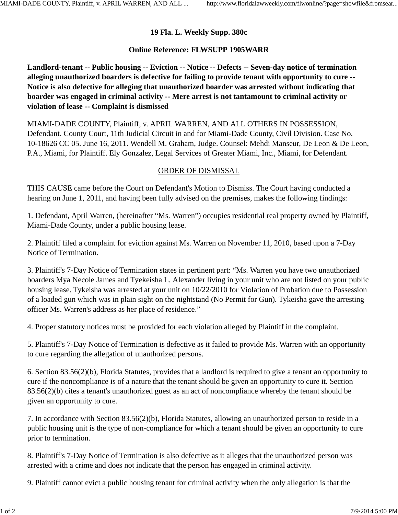## **19 Fla. L. Weekly Supp. 380c**

## **Online Reference: FLWSUPP 1905WARR**

**Landlord-tenant -- Public housing -- Eviction -- Notice -- Defects -- Seven-day notice of termination alleging unauthorized boarders is defective for failing to provide tenant with opportunity to cure -- Notice is also defective for alleging that unauthorized boarder was arrested without indicating that boarder was engaged in criminal activity -- Mere arrest is not tantamount to criminal activity or violation of lease -- Complaint is dismissed**

MIAMI-DADE COUNTY, Plaintiff, v. APRIL WARREN, AND ALL OTHERS IN POSSESSION, Defendant. County Court, 11th Judicial Circuit in and for Miami-Dade County, Civil Division. Case No. 10-18626 CC 05. June 16, 2011. Wendell M. Graham, Judge. Counsel: Mehdi Manseur, De Leon & De Leon, P.A., Miami, for Plaintiff. Ely Gonzalez, Legal Services of Greater Miami, Inc., Miami, for Defendant.

## ORDER OF DISMISSAL

THIS CAUSE came before the Court on Defendant's Motion to Dismiss. The Court having conducted a hearing on June 1, 2011, and having been fully advised on the premises, makes the following findings:

1. Defendant, April Warren, (hereinafter "Ms. Warren") occupies residential real property owned by Plaintiff, Miami-Dade County, under a public housing lease.

2. Plaintiff filed a complaint for eviction against Ms. Warren on November 11, 2010, based upon a 7-Day Notice of Termination.

3. Plaintiff's 7-Day Notice of Termination states in pertinent part: "Ms. Warren you have two unauthorized boarders Mya Necole James and Tyekeisha L. Alexander living in your unit who are not listed on your public housing lease. Tykeisha was arrested at your unit on 10/22/2010 for Violation of Probation due to Possession of a loaded gun which was in plain sight on the nightstand (No Permit for Gun). Tykeisha gave the arresting officer Ms. Warren's address as her place of residence."

4. Proper statutory notices must be provided for each violation alleged by Plaintiff in the complaint.

5. Plaintiff's 7-Day Notice of Termination is defective as it failed to provide Ms. Warren with an opportunity to cure regarding the allegation of unauthorized persons.

6. Section 83.56(2)(b), Florida Statutes, provides that a landlord is required to give a tenant an opportunity to cure if the noncompliance is of a nature that the tenant should be given an opportunity to cure it. Section 83.56(2)(b) cites a tenant's unauthorized guest as an act of noncompliance whereby the tenant should be given an opportunity to cure.

7. In accordance with Section 83.56(2)(b), Florida Statutes, allowing an unauthorized person to reside in a public housing unit is the type of non-compliance for which a tenant should be given an opportunity to cure prior to termination.

8. Plaintiff's 7-Day Notice of Termination is also defective as it alleges that the unauthorized person was arrested with a crime and does not indicate that the person has engaged in criminal activity.

9. Plaintiff cannot evict a public housing tenant for criminal activity when the only allegation is that the